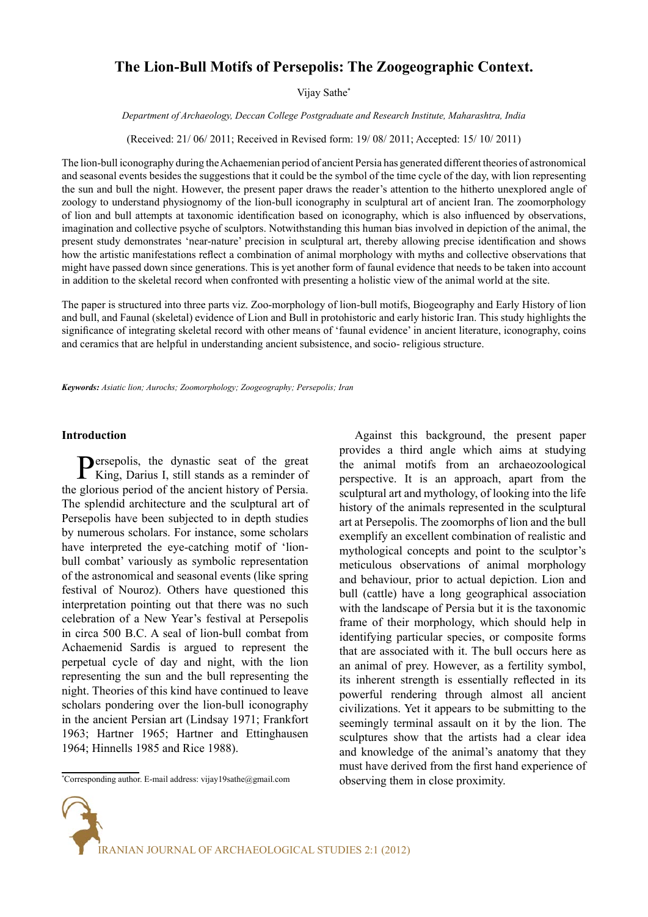# **The Lion-Bull Motifs of Persepolis: The Zoogeographic Context.**

Vijay Sathe\*

*Department of Archaeology, Deccan College Postgraduate and Research Institute, Maharashtra, India*

(Received: 21/ 06/ 2011; Received in Revised form: 19/ 08/ 2011; Accepted: 15/ 10/ 2011)

The lion-bull iconography during the Achaemenian period of ancient Persia has generated different theories of astronomical and seasonal events besides the suggestions that it could be the symbol of the time cycle of the day, with lion representing the sun and bull the night. However, the present paper draws the reader's attention to the hitherto unexplored angle of zoology to understand physiognomy of the lion-bull iconography in sculptural art of ancient Iran. The zoomorphology of lion and bull attempts at taxonomic identification based on iconography, which is also influenced by observations, imagination and collective psyche of sculptors. Notwithstanding this human bias involved in depiction of the animal, the present study demonstrates 'near-nature' precision in sculptural art, thereby allowing precise identification and shows how the artistic manifestations reflect a combination of animal morphology with myths and collective observations that might have passed down since generations. This is yet another form of faunal evidence that needs to be taken into account in addition to the skeletal record when confronted with presenting a holistic view of the animal world at the site.

The paper is structured into three parts viz. Zoo-morphology of lion-bull motifs, Biogeography and Early History of lion and bull, and Faunal (skeletal) evidence of Lion and Bull in protohistoric and early historic Iran. This study highlights the significance of integrating skeletal record with other means of 'faunal evidence' in ancient literature, iconography, coins and ceramics that are helpful in understanding ancient subsistence, and socio- religious structure.

*Keywords: Asiatic lion; Aurochs; Zoomorphology; Zoogeography; Persepolis; Iran* 

# **Introduction**

**Persepolis**, the dynastic seat of the great King, Darius I, still stands as a reminder of the glorious period of the ancient history of Persia. The splendid architecture and the sculptural art of Persepolis have been subjected to in depth studies by numerous scholars. For instance, some scholars have interpreted the eye-catching motif of 'lionbull combat' variously as symbolic representation of the astronomical and seasonal events (like spring festival of Nouroz). Others have questioned this interpretation pointing out that there was no such celebration of a New Year's festival at Persepolis in circa 500 B.C. A seal of lion-bull combat from Achaemenid Sardis is argued to represent the perpetual cycle of day and night, with the lion representing the sun and the bull representing the night. Theories of this kind have continued to leave scholars pondering over the lion-bull iconography in the ancient Persian art (Lindsay 1971; Frankfort 1963; Hartner 1965; Hartner and Ettinghausen 1964; Hinnells 1985 and Rice 1988).

Against this background, the present paper provides a third angle which aims at studying the animal motifs from an archaeozoological perspective. It is an approach, apart from the sculptural art and mythology, of looking into the life history of the animals represented in the sculptural art at Persepolis. The zoomorphs of lion and the bull exemplify an excellent combination of realistic and mythological concepts and point to the sculptor's meticulous observations of animal morphology and behaviour, prior to actual depiction. Lion and bull (cattle) have a long geographical association with the landscape of Persia but it is the taxonomic frame of their morphology, which should help in identifying particular species, or composite forms that are associated with it. The bull occurs here as an animal of prey. However, as a fertility symbol, its inherent strength is essentially reflected in its powerful rendering through almost all ancient civilizations. Yet it appears to be submitting to the seemingly terminal assault on it by the lion. The sculptures show that the artists had a clear idea and knowledge of the animal's anatomy that they must have derived from the first hand experience of observing them in close proximity.



<sup>\*</sup> Corresponding author. E-mail address: vijay19sathe@gmail.com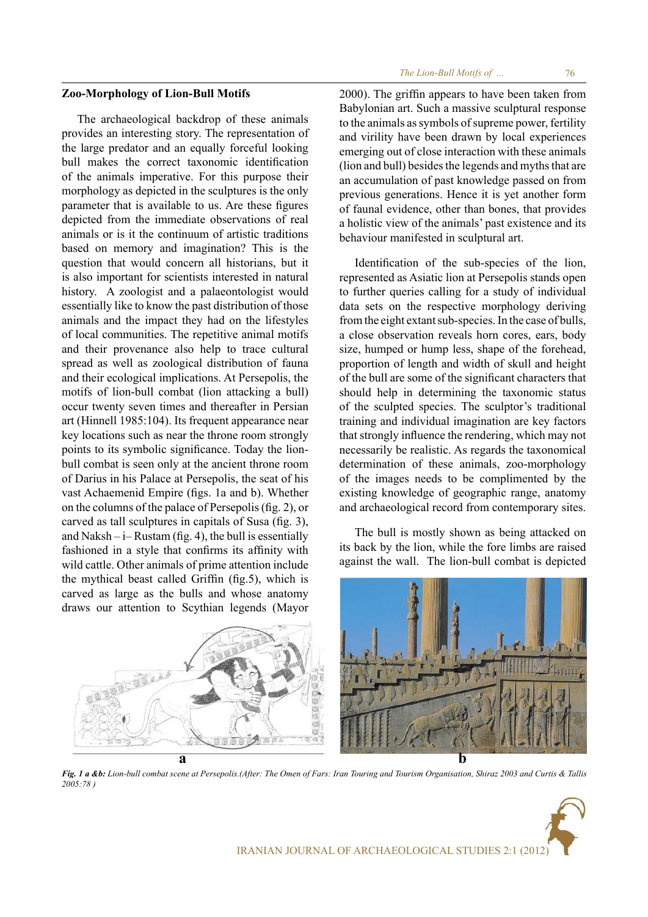# **Zoo-Morphology of Lion-Bull Motifs**

The archaeological backdrop of these animals provides an interesting story. The representation of the large predator and an equally forceful looking bull makes the correct taxonomic identification of the animals imperative. For this purpose their morphology as depicted in the sculptures is the only parameter that is available to us. Are these figures depicted from the immediate observations of real animals or is it the continuum of artistic traditions based on memory and imagination? This is the question that would concern all historians, but it is also important for scientists interested in natural history. A zoologist and a palaeontologist would essentially like to know the past distribution of those animals and the impact they had on the lifestyles of local communities. The repetitive animal motifs and their provenance also help to trace cultural spread as well as zoological distribution of fauna and their ecological implications. At Persepolis, the motifs of lion-bull combat (lion attacking a bull) occur twenty seven times and thereafter in Persian art (Hinnell 1985:104). Its frequent appearance near key locations such as near the throne room strongly points to its symbolic significance. Today the lionbull combat is seen only at the ancient throne room of Darius in his Palace at Persepolis, the seat of his vast Achaemenid Empire (figs. 1a and b). Whether on the columns of the palace of Persepolis (fig. 2), or carved as tall sculptures in capitals of Susa (fig. 3), and Naksh  $-i$ – Rustam (fig. 4), the bull is essentially fashioned in a style that confirms its affinity with wild cattle. Other animals of prime attention include the mythical beast called Griffin (fig.5), which is carved as large as the bulls and whose anatomy draws our attention to Scythian legends (Mayor

2000). The griffin appears to have been taken from Babylonian art. Such a massive sculptural response to the animals as symbols of supreme power, fertility and virility have been drawn by local experiences emerging out of close interaction with these animals (lion and bull) besides the legends and myths that are an accumulation of past knowledge passed on from previous generations. Hence it is yet another form of faunal evidence, other than bones, that provides a holistic view of the animals' past existence and its behaviour manifested in sculptural art.

Identification of the sub-species of the lion, represented as Asiatic lion at Persepolis stands open to further queries calling for a study of individual data sets on the respective morphology deriving from the eight extant sub-species. In the case of bulls, a close observation reveals horn cores, ears, body size, humped or hump less, shape of the forehead, proportion of length and width of skull and height of the bull are some of the significant characters that should help in determining the taxonomic status of the sculpted species. The sculptor's traditional training and individual imagination are key factors that strongly influence the rendering, which may not necessarily be realistic. As regards the taxonomical determination of these animals, zoo-morphology of the images needs to be complimented by the existing knowledge of geographic range, anatomy and archaeological record from contemporary sites.

The bull is mostly shown as being attacked on its back by the lion, while the fore limbs are raised against the wall. The lion-bull combat is depicted



*Fig. 1 a &b: Lion-bull combat scene at Persepolis.(After: The Omen of Fars: Iran Touring and Tourism Organisation, Shiraz 2003 and Curtis & Tallis 2005:78 )*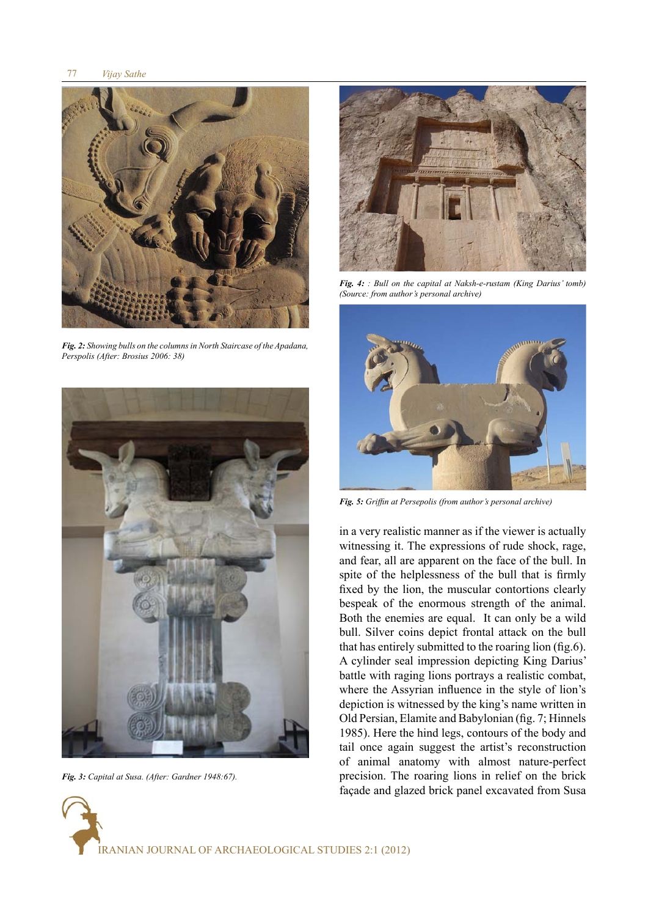

*Fig. 2: Showing bulls on the columns in North Staircase of the Apadana, Perspolis (After: Brosius 2006: 38)*



*Fig. 3: Capital at Susa. (After: Gardner 1948:67).*



*Fig. 4: : Bull on the capital at Naksh-e-rustam (King Darius' tomb) (Source: from author's personal archive)*



*Fig. 5: Griffin at Persepolis (from author's personal archive)*

in a very realistic manner as if the viewer is actually witnessing it. The expressions of rude shock, rage, and fear, all are apparent on the face of the bull. In spite of the helplessness of the bull that is firmly fixed by the lion, the muscular contortions clearly bespeak of the enormous strength of the animal. Both the enemies are equal. It can only be a wild bull. Silver coins depict frontal attack on the bull that has entirely submitted to the roaring lion (fig.6). A cylinder seal impression depicting King Darius' battle with raging lions portrays a realistic combat, where the Assyrian influence in the style of lion's depiction is witnessed by the king's name written in Old Persian, Elamite and Babylonian (fig. 7; Hinnels 1985). Here the hind legs, contours of the body and tail once again suggest the artist's reconstruction of animal anatomy with almost nature-perfect precision. The roaring lions in relief on the brick façade and glazed brick panel excavated from Susa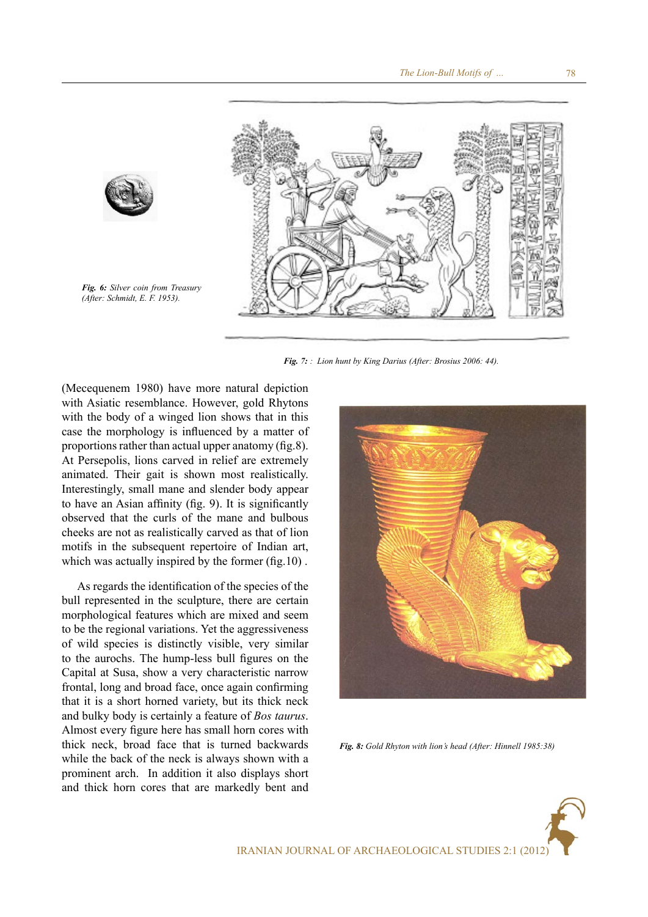

*Fig. 7: : Lion hunt by King Darius (After: Brosius 2006: 44).*

(Mecequenem 1980) have more natural depiction with Asiatic resemblance. However, gold Rhytons with the body of a winged lion shows that in this case the morphology is influenced by a matter of proportions rather than actual upper anatomy (fig.8). At Persepolis, lions carved in relief are extremely animated. Their gait is shown most realistically. Interestingly, small mane and slender body appear to have an Asian affinity (fig. 9). It is significantly observed that the curls of the mane and bulbous cheeks are not as realistically carved as that of lion motifs in the subsequent repertoire of Indian art, which was actually inspired by the former (fig.10).

*Fig. 6: Silver coin from Treasury (After: Schmidt, E. F. 1953).*

As regards the identification of the species of the bull represented in the sculpture, there are certain morphological features which are mixed and seem to be the regional variations. Yet the aggressiveness of wild species is distinctly visible, very similar to the aurochs. The hump-less bull figures on the Capital at Susa, show a very characteristic narrow frontal, long and broad face, once again confirming that it is a short horned variety, but its thick neck and bulky body is certainly a feature of *Bos taurus*. Almost every figure here has small horn cores with thick neck, broad face that is turned backwards while the back of the neck is always shown with a prominent arch. In addition it also displays short and thick horn cores that are markedly bent and



*Fig. 8: Gold Rhyton with lion's head (After: Hinnell 1985:38)*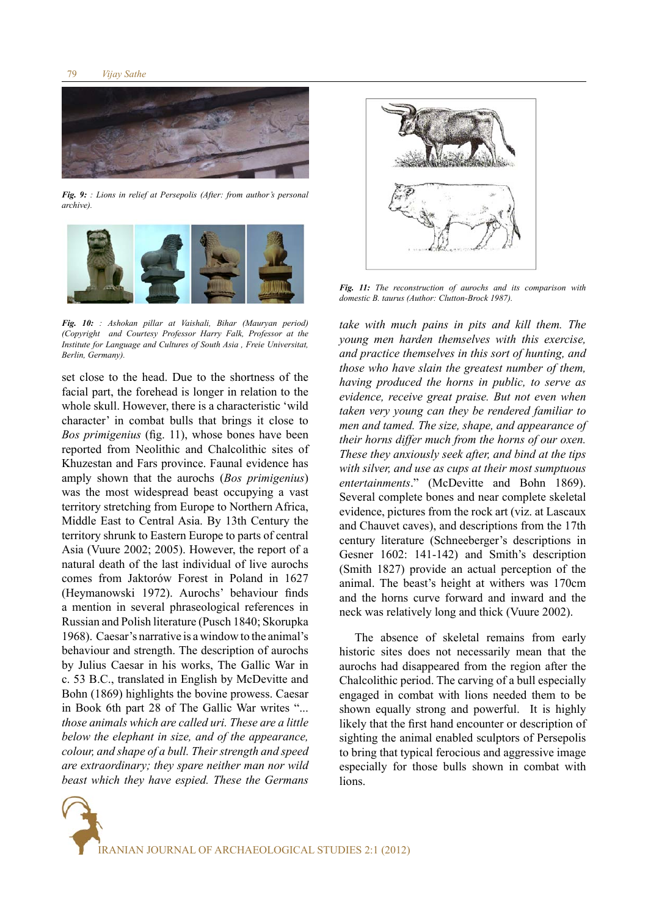

*Fig. 9: : Lions in relief at Persepolis (After: from author's personal archive).*



*Fig. 10: : Ashokan pillar at Vaishali, Bihar (Mauryan period) (Copyright and Courtesy Professor Harry Falk, Professor at the Institute for Language and Cultures of South Asia , Freie Universitat, Berlin, Germany).*

set close to the head. Due to the shortness of the facial part, the forehead is longer in relation to the whole skull. However, there is a characteristic 'wild character' in combat bulls that brings it close to *Bos primigenius* (fig. 11), whose bones have been reported from Neolithic and Chalcolithic sites of Khuzestan and Fars province. Faunal evidence has amply shown that the aurochs (*Bos primigenius*) was the most widespread beast occupying a vast territory stretching from Europe to Northern Africa, Middle East to Central Asia. By 13th Century the territory shrunk to Eastern Europe to parts of central Asia (Vuure 2002; 2005). However, the report of a natural death of the last individual of live aurochs comes from Jaktorów Forest in Poland in 1627 (Heymanowski 1972). Aurochs' behaviour finds a mention in several phraseological references in Russian and Polish literature (Pusch 1840; Skorupka 1968). Caesar's narrative is a window to the animal's behaviour and strength. The description of aurochs by Julius Caesar in his works, The Gallic War in c. 53 B.C., translated in English by McDevitte and Bohn (1869) highlights the bovine prowess. Caesar in Book 6th part 28 of The Gallic War writes "... *those animals which are called uri. These are a little below the elephant in size, and of the appearance, colour, and shape of a bull. Their strength and speed are extraordinary; they spare neither man nor wild beast which they have espied. These the Germans* 



*Fig. 11: The reconstruction of aurochs and its comparison with domestic B. taurus (Author: Clutton-Brock 1987).*

*take with much pains in pits and kill them. The young men harden themselves with this exercise, and practice themselves in this sort of hunting, and those who have slain the greatest number of them, having produced the horns in public, to serve as evidence, receive great praise. But not even when taken very young can they be rendered familiar to men and tamed. The size, shape, and appearance of their horns differ much from the horns of our oxen. These they anxiously seek after, and bind at the tips with silver, and use as cups at their most sumptuous entertainments*." (McDevitte and Bohn 1869). Several complete bones and near complete skeletal evidence, pictures from the rock art (viz. at Lascaux and Chauvet caves), and descriptions from the 17th century literature (Schneeberger's descriptions in Gesner 1602: 141-142) and Smith's description (Smith 1827) provide an actual perception of the animal. The beast's height at withers was 170cm and the horns curve forward and inward and the neck was relatively long and thick (Vuure 2002).

The absence of skeletal remains from early historic sites does not necessarily mean that the aurochs had disappeared from the region after the Chalcolithic period. The carving of a bull especially engaged in combat with lions needed them to be shown equally strong and powerful. It is highly likely that the first hand encounter or description of sighting the animal enabled sculptors of Persepolis to bring that typical ferocious and aggressive image especially for those bulls shown in combat with lions.

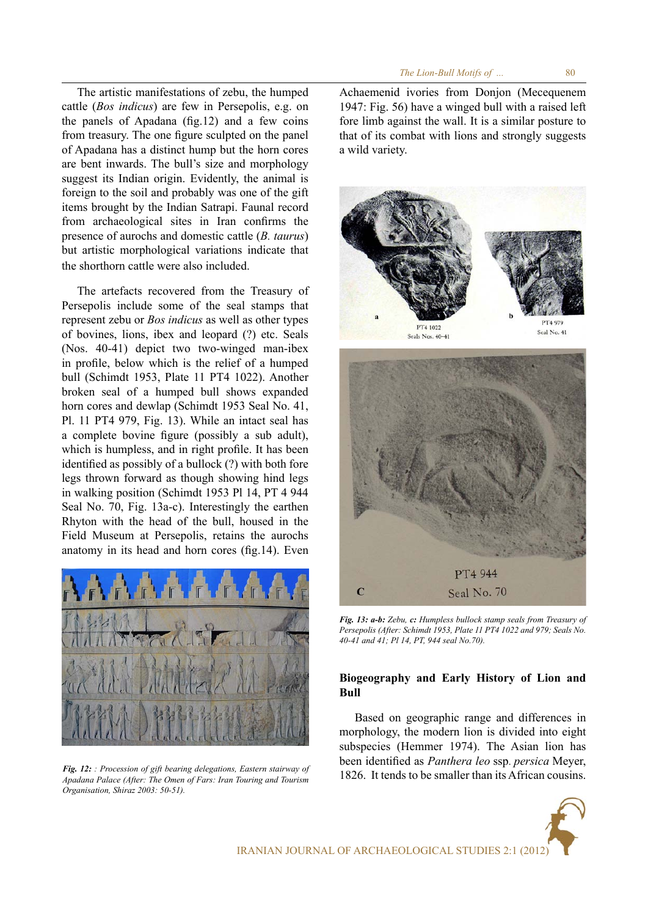The artistic manifestations of zebu, the humped cattle (*Bos indicus*) are few in Persepolis, e.g. on the panels of Apadana (fig.12) and a few coins from treasury. The one figure sculpted on the panel of Apadana has a distinct hump but the horn cores are bent inwards. The bull's size and morphology suggest its Indian origin. Evidently, the animal is foreign to the soil and probably was one of the gift items brought by the Indian Satrapi. Faunal record from archaeological sites in Iran confirms the presence of aurochs and domestic cattle (*B. taurus*) but artistic morphological variations indicate that the shorthorn cattle were also included.

The artefacts recovered from the Treasury of Persepolis include some of the seal stamps that represent zebu or *Bos indicus* as well as other types of bovines, lions, ibex and leopard (?) etc. Seals (Nos. 40-41) depict two two-winged man-ibex in profile, below which is the relief of a humped bull (Schimdt 1953, Plate 11 PT4 1022). Another broken seal of a humped bull shows expanded horn cores and dewlap (Schimdt 1953 Seal No. 41, Pl. 11 PT4 979, Fig. 13). While an intact seal has a complete bovine figure (possibly a sub adult), which is humpless, and in right profile. It has been identified as possibly of a bullock (?) with both fore legs thrown forward as though showing hind legs in walking position (Schimdt 1953 Pl 14, PT 4 944 Seal No. 70, Fig. 13a-c). Interestingly the earthen Rhyton with the head of the bull, housed in the Field Museum at Persepolis, retains the aurochs anatomy in its head and horn cores (fig.14). Even



*Fig. 12: : Procession of gift bearing delegations, Eastern stairway of Apadana Palace (After: The Omen of Fars: Iran Touring and Tourism Organisation, Shiraz 2003: 50-51).*

Achaemenid ivories from Donjon (Mecequenem 1947: Fig. 56) have a winged bull with a raised left fore limb against the wall. It is a similar posture to that of its combat with lions and strongly suggests a wild variety.



*Fig. 13: a-b: Zebu, c: Humpless bullock stamp seals from Treasury of Persepolis (After: Schimdt 1953, Plate 11 PT4 1022 and 979; Seals No. 40-41 and 41; Pl 14, PT, 944 seal No.70).*

# **Biogeography and Early History of Lion and Bull**

Based on geographic range and differences in morphology, the modern lion is divided into eight subspecies (Hemmer 1974). The Asian lion has been identified as *Panthera leo* ssp. *persica* Meyer, 1826. It tends to be smaller than its African cousins.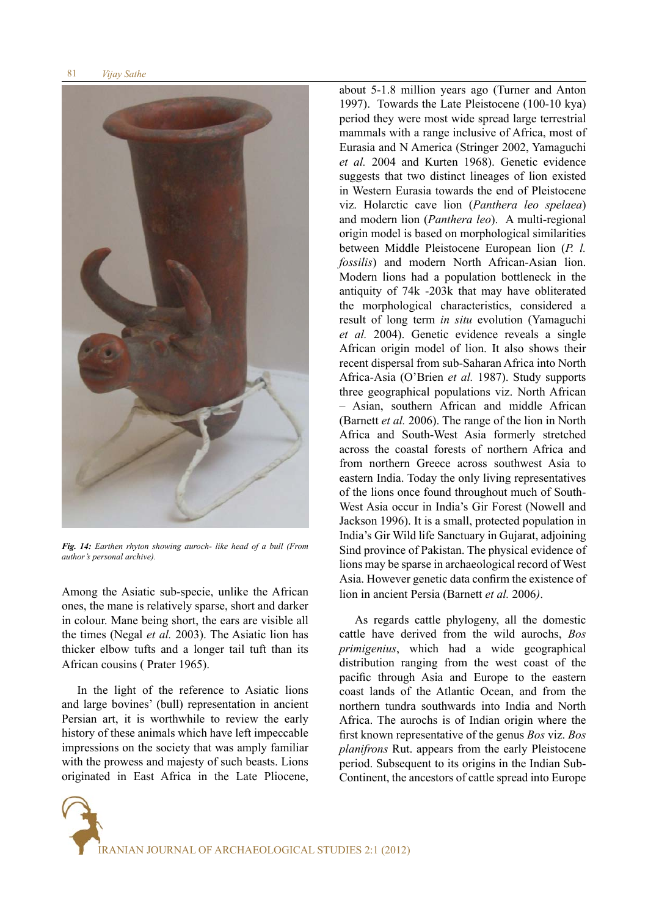

*Fig. 14: Earthen rhyton showing auroch- like head of a bull (From author's personal archive).*

Among the Asiatic sub-specie, unlike the African ones, the mane is relatively sparse, short and darker in colour. Mane being short, the ears are visible all the times (Negal *et al.* 2003). The Asiatic lion has thicker elbow tufts and a longer tail tuft than its African cousins ( Prater 1965).

In the light of the reference to Asiatic lions and large bovines' (bull) representation in ancient Persian art, it is worthwhile to review the early history of these animals which have left impeccable impressions on the society that was amply familiar with the prowess and majesty of such beasts. Lions originated in East Africa in the Late Pliocene,

about 5-1.8 million years ago (Turner and Anton 1997). Towards the Late Pleistocene (100-10 kya) period they were most wide spread large terrestrial mammals with a range inclusive of Africa, most of Eurasia and N America (Stringer 2002, Yamaguchi *et al.* 2004 and Kurten 1968). Genetic evidence suggests that two distinct lineages of lion existed in Western Eurasia towards the end of Pleistocene viz. Holarctic cave lion (*Panthera leo spelaea*) and modern lion (*Panthera leo*). A multi-regional origin model is based on morphological similarities between Middle Pleistocene European lion (*P. l. fossilis*) and modern North African-Asian lion. Modern lions had a population bottleneck in the antiquity of 74k -203k that may have obliterated the morphological characteristics, considered a result of long term *in situ* evolution (Yamaguchi *et al.* 2004). Genetic evidence reveals a single African origin model of lion. It also shows their recent dispersal from sub-Saharan Africa into North Africa-Asia (O'Brien *et al.* 1987). Study supports three geographical populations viz. North African – Asian, southern African and middle African (Barnett *et al.* 2006). The range of the lion in North Africa and South-West Asia formerly stretched across the coastal forests of northern Africa and from northern Greece across southwest Asia to eastern India. Today the only living representatives of the lions once found throughout much of South-West Asia occur in India's Gir Forest (Nowell and Jackson 1996). It is a small, protected population in India's Gir Wild life Sanctuary in Gujarat, adjoining Sind province of Pakistan. The physical evidence of lions may be sparse in archaeological record of West Asia. However genetic data confirm the existence of lion in ancient Persia (Barnett *et al.* 2006*)*.

As regards cattle phylogeny, all the domestic cattle have derived from the wild aurochs, *Bos primigenius*, which had a wide geographical distribution ranging from the west coast of the pacific through Asia and Europe to the eastern coast lands of the Atlantic Ocean, and from the northern tundra southwards into India and North Africa. The aurochs is of Indian origin where the first known representative of the genus *Bos* viz. *Bos planifrons* Rut. appears from the early Pleistocene period. Subsequent to its origins in the Indian Sub-Continent, the ancestors of cattle spread into Europe

IRANIAN JOURNAL OF ARCHAEOLOGICAL STUDIES 2:1 (2012)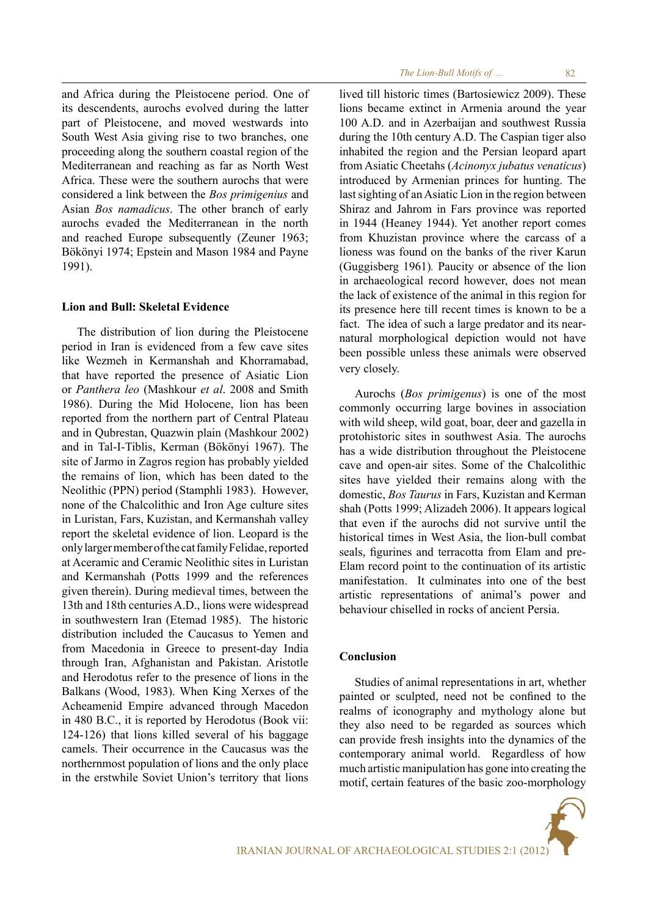and Africa during the Pleistocene period. One of its descendents, aurochs evolved during the latter part of Pleistocene, and moved westwards into South West Asia giving rise to two branches, one proceeding along the southern coastal region of the Mediterranean and reaching as far as North West Africa. These were the southern aurochs that were considered a link between the *Bos primigenius* and Asian *Bos namadicus*. The other branch of early aurochs evaded the Mediterranean in the north and reached Europe subsequently (Zeuner 1963; Bökönyi 1974; Epstein and Mason 1984 and Payne 1991).

# **Lion and Bull: Skeletal Evidence**

The distribution of lion during the Pleistocene period in Iran is evidenced from a few cave sites like Wezmeh in Kermanshah and Khorramabad, that have reported the presence of Asiatic Lion or *Panthera leo* (Mashkour *et al*. 2008 and Smith 1986). During the Mid Holocene, lion has been reported from the northern part of Central Plateau and in Qubrestan, Quazwin plain (Mashkour 2002) and in Tal-I-Tiblis, Kerman (Bökönyi 1967). The site of Jarmo in Zagros region has probably yielded the remains of lion, which has been dated to the Neolithic (PPN) period (Stamphli 1983). However, none of the Chalcolithic and Iron Age culture sites in Luristan, Fars, Kuzistan, and Kermanshah valley report the skeletal evidence of lion. Leopard is the only larger member of the cat family Felidae, reported at Aceramic and Ceramic Neolithic sites in Luristan and Kermanshah (Potts 1999 and the references given therein). During medieval times, between the 13th and 18th centuries A.D., lions were widespread in southwestern Iran (Etemad 1985). The historic distribution included the Caucasus to Yemen and from Macedonia in Greece to present-day India through Iran, Afghanistan and Pakistan. Aristotle and Herodotus refer to the presence of lions in the Balkans (Wood, 1983). When King Xerxes of the Acheamenid Empire advanced through Macedon in 480 B.C., it is reported by Herodotus (Book vii: 124-126) that lions killed several of his baggage camels. Their occurrence in the Caucasus was the northernmost population of lions and the only place in the erstwhile Soviet Union's territory that lions

*The Lion-Bull Motifs of ...* 

lived till historic times (Bartosiewicz 2009). These lions became extinct in Armenia around the year 100 A.D. and in Azerbaijan and southwest Russia during the 10th century A.D. The Caspian tiger also inhabited the region and the Persian leopard apart from Asiatic Cheetahs (*Acinonyx jubatus venaticus*) introduced by Armenian princes for hunting. The last sighting of an Asiatic Lion in the region between Shiraz and Jahrom in Fars province was reported in 1944 (Heaney 1944). Yet another report comes from Khuzistan province where the carcass of a lioness was found on the banks of the river Karun (Guggisberg 1961)*.* Paucity or absence of the lion in archaeological record however, does not mean the lack of existence of the animal in this region for its presence here till recent times is known to be a fact. The idea of such a large predator and its nearnatural morphological depiction would not have been possible unless these animals were observed very closely.

Aurochs (*Bos primigenus*) is one of the most commonly occurring large bovines in association with wild sheep, wild goat, boar, deer and gazella in protohistoric sites in southwest Asia. The aurochs has a wide distribution throughout the Pleistocene cave and open-air sites. Some of the Chalcolithic sites have yielded their remains along with the domestic, *Bos Taurus* in Fars, Kuzistan and Kerman shah (Potts 1999; Alizadeh 2006). It appears logical that even if the aurochs did not survive until the historical times in West Asia, the lion-bull combat seals, figurines and terracotta from Elam and pre-Elam record point to the continuation of its artistic manifestation. It culminates into one of the best artistic representations of animal's power and behaviour chiselled in rocks of ancient Persia.

# **Conclusion**

Studies of animal representations in art, whether painted or sculpted, need not be confined to the realms of iconography and mythology alone but they also need to be regarded as sources which can provide fresh insights into the dynamics of the contemporary animal world. Regardless of how much artistic manipulation has gone into creating the motif, certain features of the basic zoo-morphology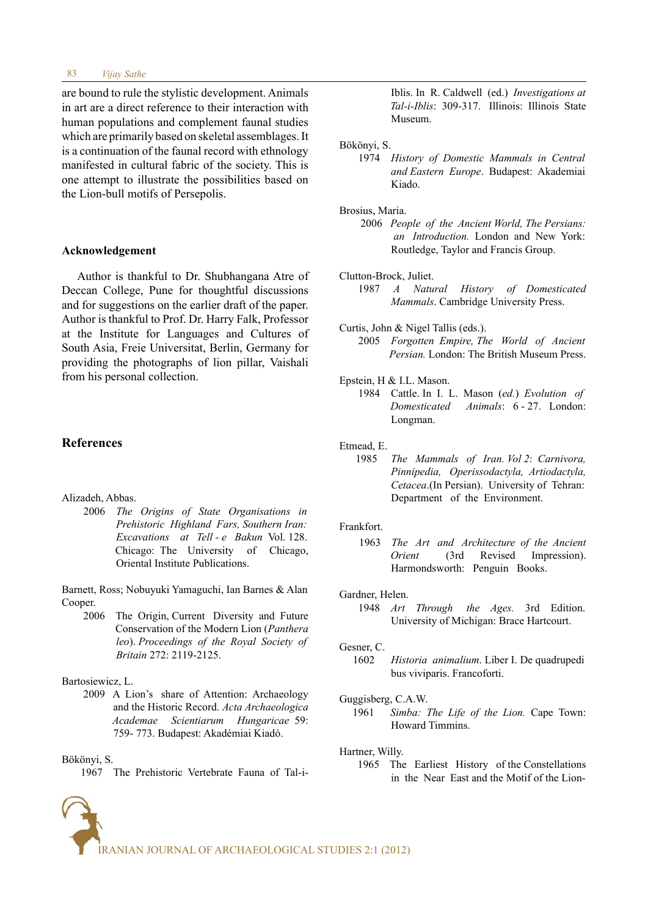#### *Vijay Sathe* 83

are bound to rule the stylistic development. Animals in art are a direct reference to their interaction with human populations and complement faunal studies which are primarily based on skeletal assemblages. It is a continuation of the faunal record with ethnology manifested in cultural fabric of the society. This is one attempt to illustrate the possibilities based on the Lion-bull motifs of Persepolis.

## **Acknowledgement**

Author is thankful to Dr. Shubhangana Atre of Deccan College, Pune for thoughtful discussions and for suggestions on the earlier draft of the paper. Author is thankful to Prof. Dr. Harry Falk, Professor at the Institute for Languages and Cultures of South Asia, Freie Universitat, Berlin, Germany for providing the photographs of lion pillar, Vaishali from his personal collection.

# **References**

#### Alizadeh, Abbas.

 2006 *The Origins of State Organisations in Prehistoric Highland Fars, Southern Iran: Excavations at Tell - e Bakun* Vol. 128. Chicago:The University of Chicago, Oriental Institute Publications.

Barnett, Ross; Nobuyuki Yamaguchi, Ian Barnes & Alan Cooper.

 2006 The Origin, Current Diversity and Future Conservation of the Modern Lion (*Panthera leo*). *Proceedings of the Royal Society of Britain* 272: 2119-2125.

## Bartosiewicz, L.

 2009 A Lion's share of Attention: Archaeology and the Historic Record. *Acta Archaeologica Academae Scientiarum Hungaricae* 59: 759- 773. Budapest: Akadémiai Kiadó.

Bökönyi, S.

1967 The Prehistoric Vertebrate Fauna of Tal-i-

 Iblis. In R. Caldwell (ed.) *Investigations at Tal-i-Iblis*: 309-317. Illinois: Illinois State Museum.

#### Bökönyi, S.

 1974 *History of Domestic Mammals in Central and Eastern Europe*. Budapest: Akademiai Kiado.

#### Brosius, Maria.

 2006 *People of the Ancient World, The Persians: an Introduction.* London and New York: Routledge, Taylor and Francis Group.

### Clutton-Brock, Juliet.

- 1987 *A Natural History of Domesticated Mammals*. Cambridge University Press.
- Curtis, John & Nigel Tallis (eds.).
	- 2005 *Forgotten Empire, The World of Ancient Persian.* London: The British Museum Press.
- Epstein, H & I.L. Mason.
	- 1984 Cattle. In I. L. Mason (*ed.*) *Evolution of Domesticated Animals*: 6 - 27. London: Longman.
- Etmead, E.
	- 1985 *The Mammals of Iran. Vol 2*: *Carnivora, Pinnipedia, Operissodactyla, Artiodactyla, Cetacea*.(In Persian). University of Tehran: Department of the Environment.

#### Frankfort.

 1963 *The Art and Architecture of the Ancient Impression*). Harmondsworth: Penguin Books.

#### Gardner, Helen.

 1948 *Art Through the Ages.* 3rd Edition. University of Michigan: Brace Hartcourt.

#### Gesner, C.

 1602 *Historia animalium*. Liber I. De quadrupedi bus viviparis. Francoforti.

#### Guggisberg, C.A.W.

 1961 *Simba: The Life of the Lion.* Cape Town: Howard Timmins.

#### Hartner, Willy.

 1965 The Earliest History of the Constellations in the Near East and the Motif of the Lion-

IRANIAN JOURNAL OF ARCHAEOLOGICAL STUDIES 2:1 (2012)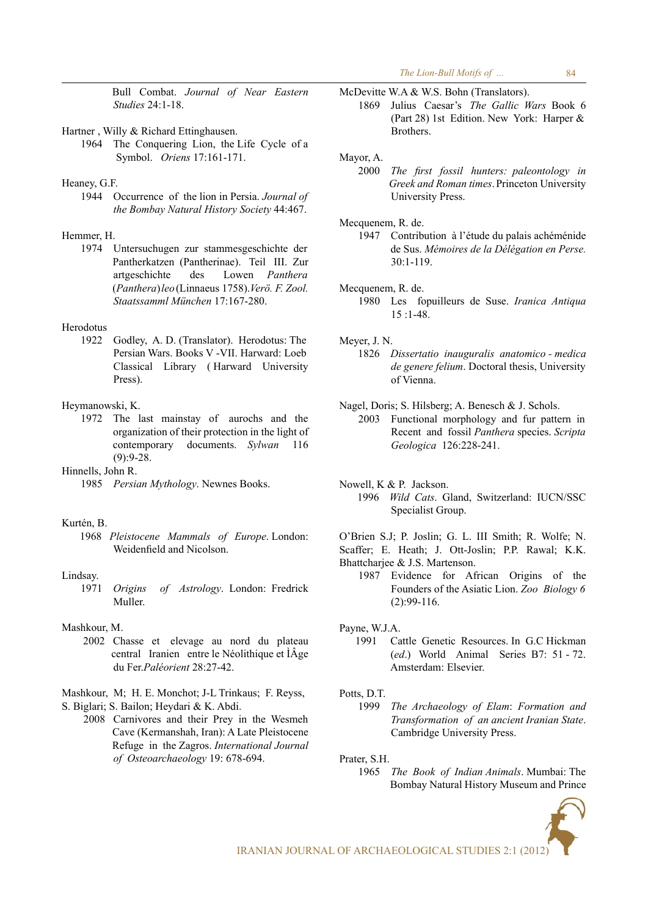Bull Combat. *Journal of Near Eastern Studies* 24:1-18.

- Hartner , Willy & Richard Ettinghausen.
	- 1964 The Conquering Lion, the Life Cycle of a Symbol. *Oriens* 17:161-171.
- Heaney, G.F.
	- 1944 Occurrence of the lion in Persia. *Journal of the Bombay Natural History Society* 44:467.

## Hemmer, H.

 1974 Untersuchugen zur stammesgeschichte der Pantherkatzen (Pantherinae). Teil III. Zur artgeschichte des Lowen *Panthera* (*Panthera*) *leo* (Linnaeus 1758).*Verö. F. Zool. Staatssamml München* 17:167-280.

# Herodotus

 1922 Godley, A. D. (Translator). Herodotus: The Persian Wars. Books V -VII. Harward: Loeb Classical Library ( Harward University Press).

#### Heymanowski, K.

 1972 The last mainstay of aurochs and the organization of their protection in the light of contemporary documents. *Sylwan* 116  $(9):9-28.$ 

Hinnells, John R.

1985 *Persian Mythology*. Newnes Books.

# Kurtén, B.

 1968 *Pleistocene Mammals of Europe*. London: Weidenfield and Nicolson.

#### Lindsay.

 1971 *Origins of Astrology*. London: Fredrick Muller.

## Mashkour, M.

 2002 Chasse et elevage au nord du plateau central Iranien entre le Néolithique et ÌÂge du Fer.*Paléorient* 28:27-42.

Mashkour, M; H. E. Monchot; J-L Trinkaus; F. Reyss, S. Biglari; S. Bailon; Heydari & K. Abdi.

 2008 Carnivores and their Prey in the Wesmeh Cave (Kermanshah, Iran): A Late Pleistocene Refuge in the Zagros. *International Journal of Osteoarchaeology* 19: 678-694.

McDevitte WA & W.S. Bohn (Translators). 1869 Julius Caesar's *The Gallic Wars* Book 6 (Part 28) 1st Edition. New York: Harper & **Brothers** 

#### Mayor, A.

 2000 *The first fossil hunters: paleontology in Greek and Roman times*. Princeton University University Press.

Mecquenem, R. de.

 1947 Contribution à l'étude du palais achéménide de Sus. *Mémoires de la Délégation en Perse.*  $30:1 - 119$ 

#### Mecquenem, R. de.

 1980 Les fopuilleurs de Suse. *Iranica Antiqua*  15 :1-48.

Meyer, J. N.

 1826 *Dissertatio inauguralis anatomico - medica de genere felium*. Doctoral thesis, University of Vienna.

Nagel, Doris; S. Hilsberg; A. Benesch & J. Schols.

- 2003 Functional morphology and fur pattern in Recent and fossil *Panthera* species. *Scripta Geologica* 126:228-241.
- Nowell, K & P. Jackson.
	- 1996 *Wild Cats*. Gland, Switzerland: IUCN/SSC Specialist Group.

O'Brien S.J; P. Joslin; G. L. III Smith; R. Wolfe; N.

Scaffer; E. Heath; J. Ott-Joslin; P.P. Rawal; K.K. Bhattcharjee & J.S. Martenson.

 1987 Evidence for African Origins of the Founders of the Asiatic Lion. *Zoo Biology 6* (2):99-116.

Payne, W.J.A.

 1991 Cattle Genetic Resources. In G.C Hickman (*ed*.) World Animal Series B7: 51 - 72. Amsterdam: Elsevier.

#### Potts, D.T.

 1999 *The Archaeology of Elam*: *Formation and Transformation of an ancient Iranian State*. Cambridge University Press.

Prater, S.H.

 1965 *The Book of Indian Animals*. Mumbai: The Bombay Natural History Museum and Prince